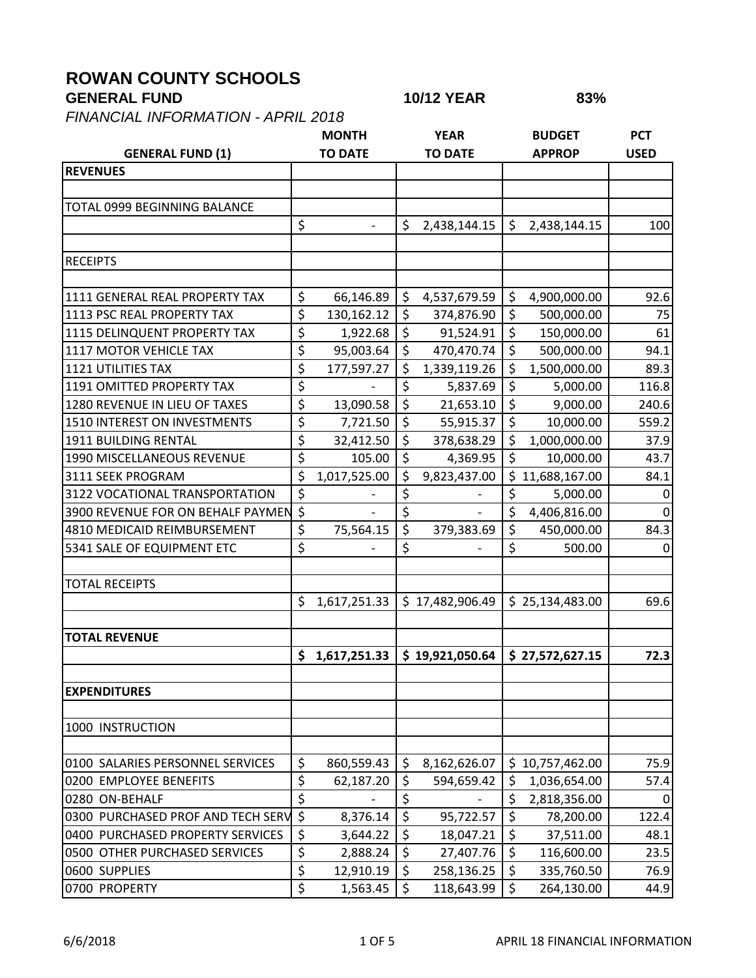## **ROWAN COUNTY SCHOOLS**

## **GENERAL FUND 10/12 YEAR 83%**

*FINANCIAL INFORMATION - APRIL 2018*

| <b>GENERAL FUND (1)</b>           |                          | <b>MONTH</b><br><b>TO DATE</b> |                  | <b>YEAR</b><br><b>TO DATE</b> |         | <b>BUDGET</b><br><b>APPROP</b> | <b>PCT</b><br><b>USED</b> |
|-----------------------------------|--------------------------|--------------------------------|------------------|-------------------------------|---------|--------------------------------|---------------------------|
| <b>REVENUES</b>                   |                          |                                |                  |                               |         |                                |                           |
|                                   |                          |                                |                  |                               |         |                                |                           |
| TOTAL 0999 BEGINNING BALANCE      |                          |                                |                  |                               |         |                                |                           |
|                                   | \$                       | $\overline{\phantom{a}}$       | \$               | 2,438,144.15                  | \$      | 2,438,144.15                   | 100                       |
|                                   |                          |                                |                  |                               |         |                                |                           |
| <b>RECEIPTS</b>                   |                          |                                |                  |                               |         |                                |                           |
| 1111 GENERAL REAL PROPERTY TAX    | \$                       | 66,146.89                      | \$               | 4,537,679.59                  | \$      | 4,900,000.00                   | 92.6                      |
| 1113 PSC REAL PROPERTY TAX        | \$                       | 130,162.12                     | \$               | 374,876.90                    | \$      | 500,000.00                     | 75                        |
| 1115 DELINQUENT PROPERTY TAX      | \$                       | 1,922.68                       | \$               | 91,524.91                     | \$      | 150,000.00                     | 61                        |
| 1117 MOTOR VEHICLE TAX            | \$                       | 95,003.64                      | \$               | 470,470.74                    | \$      | 500,000.00                     | 94.1                      |
| <b>1121 UTILITIES TAX</b>         | \$                       | 177,597.27                     | \$               | 1,339,119.26                  | \$      | 1,500,000.00                   | 89.3                      |
| 1191 OMITTED PROPERTY TAX         | \$                       |                                | \$               | 5,837.69                      | \$      | 5,000.00                       | 116.8                     |
| 1280 REVENUE IN LIEU OF TAXES     | \$                       | 13,090.58                      | $\overline{\xi}$ | 21,653.10                     | $\zeta$ | 9,000.00                       | 240.6                     |
| 1510 INTEREST ON INVESTMENTS      | \$                       | 7,721.50                       | \$               | 55,915.37                     | $\zeta$ | 10,000.00                      | 559.2                     |
| 1911 BUILDING RENTAL              | \$                       | 32,412.50                      | \$               | 378,638.29                    | \$      | 1,000,000.00                   | 37.9                      |
| 1990 MISCELLANEOUS REVENUE        | \$                       | 105.00                         | $\overline{\xi}$ | 4,369.95                      | $\zeta$ | 10,000.00                      | 43.7                      |
| 3111 SEEK PROGRAM                 | $\zeta$                  | 1,017,525.00                   | \$               | 9,823,437.00                  |         | \$11,688,167.00                | 84.1                      |
| 3122 VOCATIONAL TRANSPORTATION    | \$                       |                                | \$               |                               | \$      | 5,000.00                       | $\Omega$                  |
| 3900 REVENUE FOR ON BEHALF PAYMEN | $\overline{\mathcal{S}}$ |                                | \$               |                               | \$      | 4,406,816.00                   | $\Omega$                  |
| 4810 MEDICAID REIMBURSEMENT       | \$                       | 75,564.15                      | $\overline{\xi}$ | 379,383.69                    | \$      | 450,000.00                     | 84.3                      |
| 5341 SALE OF EQUIPMENT ETC        | \$                       |                                | \$               |                               | \$      | 500.00                         | $\Omega$                  |
| <b>TOTAL RECEIPTS</b>             |                          |                                |                  |                               |         |                                |                           |
|                                   | \$                       | 1,617,251.33                   |                  | \$17,482,906.49               |         | \$25,134,483.00                | 69.6                      |
| <b>TOTAL REVENUE</b>              |                          |                                |                  |                               |         |                                |                           |
|                                   | \$                       | 1,617,251.33                   |                  | \$19,921,050.64               |         | \$27,572,627.15                | 72.3                      |
|                                   |                          |                                |                  |                               |         |                                |                           |
| <b>EXPENDITURES</b>               |                          |                                |                  |                               |         |                                |                           |
| 1000 INSTRUCTION                  |                          |                                |                  |                               |         |                                |                           |
| 0100 SALARIES PERSONNEL SERVICES  | \$                       | 860,559.43                     | \$               | 8,162,626.07                  |         | \$10,757,462.00                | 75.9                      |
| 0200 EMPLOYEE BENEFITS            | \$                       | 62,187.20                      | \$               | 594,659.42                    | \$      | 1,036,654.00                   | 57.4                      |
| 0280 ON-BEHALF                    | \$                       |                                | \$               |                               | \$      | 2,818,356.00                   | 0                         |
| 0300 PURCHASED PROF AND TECH SERV | $\zeta$                  | 8,376.14                       | \$               | 95,722.57                     | \$      | 78,200.00                      | 122.4                     |
| 0400 PURCHASED PROPERTY SERVICES  | \$                       | 3,644.22                       | $\overline{\xi}$ | 18,047.21                     | \$      | 37,511.00                      | 48.1                      |
| 0500 OTHER PURCHASED SERVICES     | $\overline{\varsigma}$   | 2,888.24                       | \$               | 27,407.76                     | \$      | 116,600.00                     | 23.5                      |
| 0600 SUPPLIES                     | \$                       | 12,910.19                      | \$               | 258,136.25                    | \$      | 335,760.50                     | 76.9                      |
| 0700 PROPERTY                     | \$                       | 1,563.45                       | $\zeta$          | 118,643.99                    | $\zeta$ | 264,130.00                     | 44.9                      |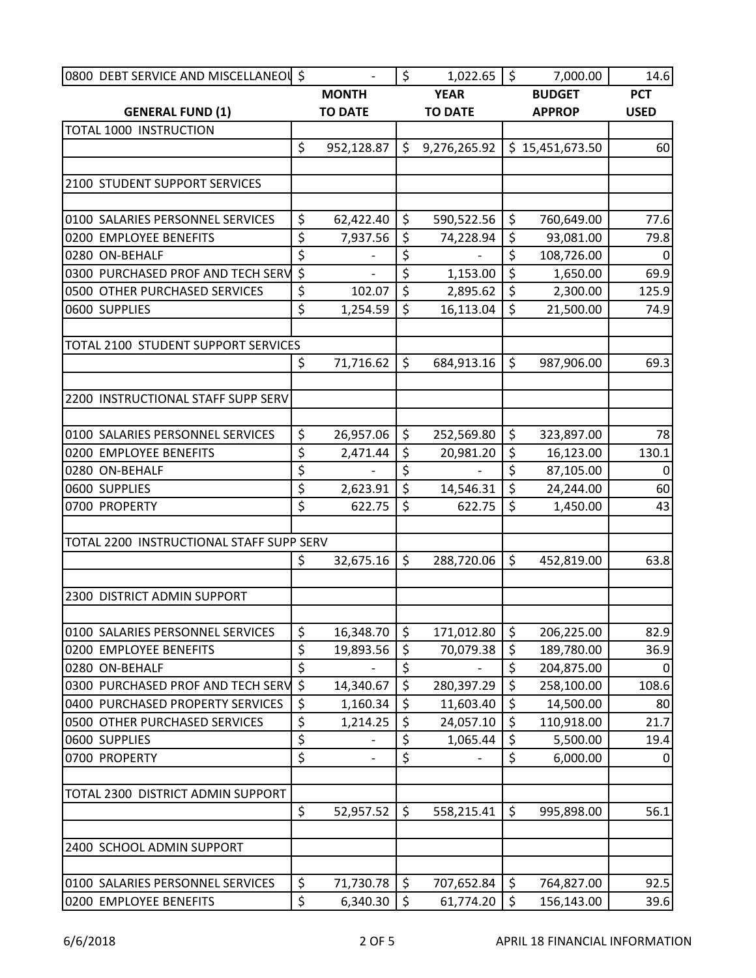| 0800 DEBT SERVICE AND MISCELLANEOU \$    |                        |                | $\zeta$ | 1,022.65       | $\ddot{\mathsf{S}}$      | 7,000.00        | 14.6        |
|------------------------------------------|------------------------|----------------|---------|----------------|--------------------------|-----------------|-------------|
|                                          |                        | <b>MONTH</b>   |         | <b>YEAR</b>    |                          | <b>BUDGET</b>   | <b>PCT</b>  |
| <b>GENERAL FUND (1)</b>                  |                        | <b>TO DATE</b> |         | <b>TO DATE</b> |                          | <b>APPROP</b>   | <b>USED</b> |
| <b>TOTAL 1000 INSTRUCTION</b>            |                        |                |         |                |                          |                 |             |
|                                          | \$                     | 952,128.87     | \$      | 9,276,265.92   |                          | \$15,451,673.50 | 60          |
|                                          |                        |                |         |                |                          |                 |             |
| 2100 STUDENT SUPPORT SERVICES            |                        |                |         |                |                          |                 |             |
| 0100 SALARIES PERSONNEL SERVICES         | \$                     | 62,422.40      | \$      | 590,522.56     | \$                       | 760,649.00      | 77.6        |
| 0200 EMPLOYEE BENEFITS                   | \$                     | 7,937.56       | \$      | 74,228.94      | \$                       | 93,081.00       | 79.8        |
| 0280 ON-BEHALF                           | \$                     |                | \$      |                | \$                       | 108,726.00      | 0           |
| 0300 PURCHASED PROF AND TECH SERV        | \$                     |                | \$      | 1,153.00       | $\zeta$                  | 1,650.00        | 69.9        |
| 0500 OTHER PURCHASED SERVICES            | \$                     | 102.07         | \$      | 2,895.62       | \$                       | 2,300.00        | 125.9       |
| 0600 SUPPLIES                            | \$                     | 1,254.59       | \$      | 16,113.04      | \$                       | 21,500.00       | 74.9        |
| TOTAL 2100 STUDENT SUPPORT SERVICES      |                        |                |         |                |                          |                 |             |
|                                          | \$                     | 71,716.62      | $\zeta$ | 684,913.16     | $\zeta$                  | 987,906.00      | 69.3        |
|                                          |                        |                |         |                |                          |                 |             |
| 2200 INSTRUCTIONAL STAFF SUPP SERV       |                        |                |         |                |                          |                 |             |
| 0100 SALARIES PERSONNEL SERVICES         | \$                     | 26,957.06      | \$      | 252,569.80     | \$                       | 323,897.00      | 78          |
| 0200 EMPLOYEE BENEFITS                   | \$                     | 2,471.44       | \$      | 20,981.20      | \$                       | 16,123.00       | 130.1       |
| 0280 ON-BEHALF                           | \$                     | $\frac{1}{2}$  | \$      | $\overline{a}$ | $\overline{\mathcal{S}}$ | 87,105.00       | $\Omega$    |
| 0600 SUPPLIES                            | \$                     | 2,623.91       | \$      | 14,546.31      | $\zeta$                  | 24,244.00       | 60          |
| 0700 PROPERTY                            | \$                     | 622.75         | \$      | 622.75         | \$                       | 1,450.00        | 43          |
|                                          |                        |                |         |                |                          |                 |             |
| TOTAL 2200 INSTRUCTIONAL STAFF SUPP SERV |                        |                |         |                |                          |                 |             |
|                                          | \$                     | 32,675.16      | \$      | 288,720.06     | \$                       | 452,819.00      | 63.8        |
|                                          |                        |                |         |                |                          |                 |             |
| 2300 DISTRICT ADMIN SUPPORT              |                        |                |         |                |                          |                 |             |
| 0100 SALARIES PERSONNEL SERVICES         | \$                     | 16,348.70      | \$      | 171,012.80     | \$                       | 206,225.00      | 82.9        |
| 0200 EMPLOYEE BENEFITS                   | \$                     | 19,893.56      | \$      | 70,079.38      | \$                       | 189,780.00      | 36.9        |
| 0280 ON-BEHALF                           | $\overline{\varsigma}$ |                | \$      |                | \$                       | 204,875.00      | 0           |
| 0300 PURCHASED PROF AND TECH SERV        | \$                     | 14,340.67      | \$      | 280,397.29     | \$                       | 258,100.00      | 108.6       |
| 0400 PURCHASED PROPERTY SERVICES         | \$                     | 1,160.34       | \$      | 11,603.40      | $\zeta$                  | 14,500.00       | 80          |
| 0500 OTHER PURCHASED SERVICES            | \$                     | 1,214.25       | \$      | 24,057.10      | \$                       | 110,918.00      | 21.7        |
| 0600 SUPPLIES                            | \$                     |                | \$      | 1,065.44       | \$                       | 5,500.00        | 19.4        |
| 0700 PROPERTY                            | \$                     |                | \$      |                | \$                       | 6,000.00        | 0           |
|                                          |                        |                |         |                |                          |                 |             |
| TOTAL 2300 DISTRICT ADMIN SUPPORT        | \$                     | 52,957.52      | \$      | 558,215.41     | \$                       | 995,898.00      | 56.1        |
|                                          |                        |                |         |                |                          |                 |             |
| 2400 SCHOOL ADMIN SUPPORT                |                        |                |         |                |                          |                 |             |
| 0100 SALARIES PERSONNEL SERVICES         | \$                     | 71,730.78      | \$      | 707,652.84     | \$                       | 764,827.00      | 92.5        |
| 0200 EMPLOYEE BENEFITS                   | \$                     | 6,340.30       | \$      | 61,774.20      | \$                       | 156,143.00      | 39.6        |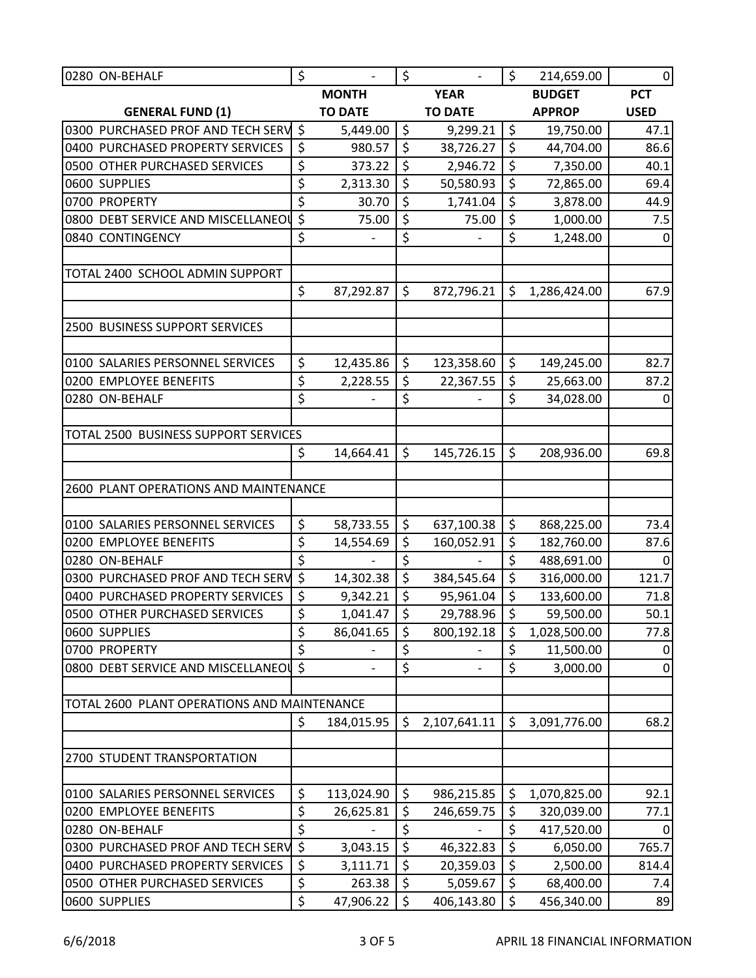| 0280 ON-BEHALF                              | \$               | $\overline{\phantom{a}}$ | \$                       | $\overline{\phantom{a}}$ | $\zeta$                  | 214,659.00    | $\Omega$    |
|---------------------------------------------|------------------|--------------------------|--------------------------|--------------------------|--------------------------|---------------|-------------|
|                                             |                  | <b>MONTH</b>             |                          | <b>YEAR</b>              |                          | <b>BUDGET</b> | <b>PCT</b>  |
| <b>GENERAL FUND (1)</b>                     |                  | <b>TO DATE</b>           |                          | <b>TO DATE</b>           |                          | <b>APPROP</b> | <b>USED</b> |
| 0300 PURCHASED PROF AND TECH SERV \$        |                  | 5,449.00                 | $\zeta$                  | 9,299.21                 | $\zeta$                  | 19,750.00     | 47.1        |
| 0400 PURCHASED PROPERTY SERVICES            | \$               | 980.57                   | $\overline{\xi}$         | 38,726.27                | $\overline{\mathcal{S}}$ | 44,704.00     | 86.6        |
| 0500 OTHER PURCHASED SERVICES               | \$               | 373.22                   | \$                       | 2,946.72                 | $\zeta$                  | 7,350.00      | 40.1        |
| 0600 SUPPLIES                               | \$               | 2,313.30                 | \$                       | 50,580.93                | $\zeta$                  | 72,865.00     | 69.4        |
| 0700 PROPERTY                               | \$               | 30.70                    | \$                       | 1,741.04                 | \$                       | 3,878.00      | 44.9        |
| 0800 DEBT SERVICE AND MISCELLANEOL          | \$               | 75.00                    | \$                       | 75.00                    | \$                       | 1,000.00      | 7.5         |
| 0840 CONTINGENCY                            | \$               |                          | \$                       |                          | \$                       | 1,248.00      | 0           |
| TOTAL 2400 SCHOOL ADMIN SUPPORT             |                  |                          |                          |                          |                          |               |             |
|                                             | \$               | 87,292.87                | \$                       | 872,796.21               | \$                       | 1,286,424.00  | 67.9        |
| 2500 BUSINESS SUPPORT SERVICES              |                  |                          |                          |                          |                          |               |             |
| 0100 SALARIES PERSONNEL SERVICES            | \$               | 12,435.86                | \$                       | 123,358.60               | \$                       | 149,245.00    | 82.7        |
| 0200 EMPLOYEE BENEFITS                      | \$               | 2,228.55                 | \$                       | 22,367.55                | \$                       | 25,663.00     | 87.2        |
| 0280 ON-BEHALF                              | \$               |                          | \$                       |                          | $\overline{\mathsf{S}}$  | 34,028.00     | $\Omega$    |
|                                             |                  |                          |                          |                          |                          |               |             |
| TOTAL 2500 BUSINESS SUPPORT SERVICES        |                  |                          |                          |                          |                          |               |             |
|                                             | \$               | 14,664.41                | $\zeta$                  | 145,726.15               | \$                       | 208,936.00    | 69.8        |
| 2600 PLANT OPERATIONS AND MAINTENANCE       |                  |                          |                          |                          |                          |               |             |
|                                             |                  |                          |                          |                          |                          |               |             |
| 0100 SALARIES PERSONNEL SERVICES            | \$               | 58,733.55                | \$                       | 637,100.38               | $\zeta$                  | 868,225.00    | 73.4        |
| 0200 EMPLOYEE BENEFITS                      | \$               | 14,554.69                | \$                       | 160,052.91               | \$                       | 182,760.00    | 87.6        |
| 0280 ON-BEHALF                              | \$               |                          | \$                       |                          | \$                       | 488,691.00    | $\Omega$    |
| 0300 PURCHASED PROF AND TECH SERV           | $\overline{\xi}$ | 14,302.38                | $\overline{\xi}$         | 384,545.64               | $\zeta$                  | 316,000.00    | 121.7       |
| 0400 PURCHASED PROPERTY SERVICES            | \$               | 9,342.21                 | \$                       | 95,961.04                | \$                       | 133,600.00    | 71.8        |
| 0500 OTHER PURCHASED SERVICES               | \$               | 1,041.47                 | $\overline{\mathcal{S}}$ | 29,788.96                | $\overline{\xi}$         | 59,500.00     | 50.1        |
| 0600 SUPPLIES                               | \$               | 86,041.65                | \$                       | 800,192.18               | \$                       | 1,028,500.00  | 77.8        |
| 0700 PROPERTY                               | \$<br>$\zeta$    |                          | \$                       |                          | \$                       | 11,500.00     | 0           |
| 0800 DEBT SERVICE AND MISCELLANEOU          |                  |                          | \$                       |                          | \$                       | 3,000.00      | $\mathbf 0$ |
| TOTAL 2600 PLANT OPERATIONS AND MAINTENANCE |                  |                          |                          |                          |                          |               |             |
|                                             | \$               | 184,015.95               | \$                       | 2,107,641.11             | \$                       | 3,091,776.00  | 68.2        |
| 2700 STUDENT TRANSPORTATION                 |                  |                          |                          |                          |                          |               |             |
| 0100 SALARIES PERSONNEL SERVICES            | \$               | 113,024.90               | \$                       | 986,215.85               | \$                       | 1,070,825.00  | 92.1        |
| 0200 EMPLOYEE BENEFITS                      | \$               | 26,625.81                | \$                       | 246,659.75               | \$                       | 320,039.00    | 77.1        |
| 0280 ON-BEHALF                              | \$               |                          | \$                       |                          | \$                       | 417,520.00    | 0           |
| 0300 PURCHASED PROF AND TECH SERV           | \$               | 3,043.15                 | \$                       | 46,322.83                | \$                       | 6,050.00      | 765.7       |
| 0400 PURCHASED PROPERTY SERVICES            | \$               | 3,111.71                 | \$                       | 20,359.03                | \$                       | 2,500.00      | 814.4       |
| 0500 OTHER PURCHASED SERVICES               | \$               | 263.38                   | \$                       | 5,059.67                 | \$                       | 68,400.00     | 7.4         |
| 0600 SUPPLIES                               | \$               | 47,906.22                | \$                       | 406,143.80               | $\zeta$                  | 456,340.00    | 89          |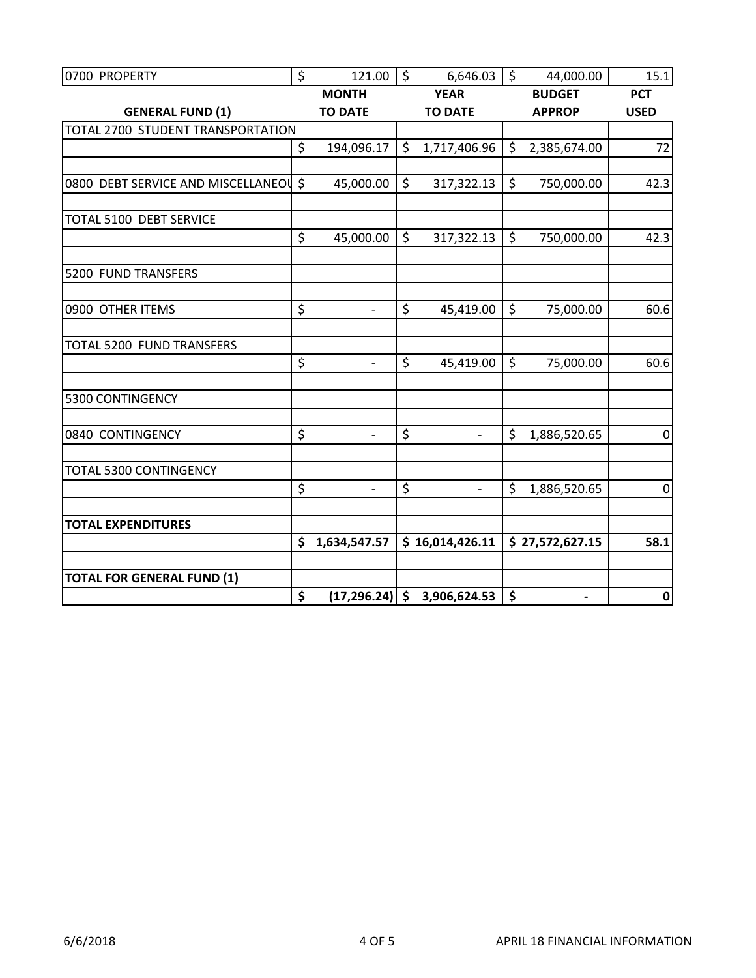| 0700 PROPERTY                       | \$<br>121.00         | \$<br>6,646.03                | \$                 | 44,000.00                | 15.1             |
|-------------------------------------|----------------------|-------------------------------|--------------------|--------------------------|------------------|
|                                     | <b>MONTH</b>         | <b>YEAR</b>                   |                    | <b>BUDGET</b>            | <b>PCT</b>       |
| <b>GENERAL FUND (1)</b>             | <b>TO DATE</b>       | <b>TO DATE</b>                |                    | <b>APPROP</b>            | <b>USED</b>      |
| TOTAL 2700 STUDENT TRANSPORTATION   |                      |                               |                    |                          |                  |
|                                     | \$<br>194,096.17     | \$<br>1,717,406.96            | \$                 | 2,385,674.00             | 72               |
|                                     |                      |                               |                    |                          |                  |
| 0800 DEBT SERVICE AND MISCELLANEOUS | 45,000.00            | \$<br>317,322.13              | \$                 | 750,000.00               | 42.3             |
|                                     |                      |                               |                    |                          |                  |
| TOTAL 5100 DEBT SERVICE             |                      |                               |                    |                          |                  |
|                                     | \$<br>45,000.00      | \$<br>317,322.13              | $\mathsf{\hat{S}}$ | 750,000.00               | 42.3             |
|                                     |                      |                               |                    |                          |                  |
| 5200 FUND TRANSFERS                 |                      |                               |                    |                          |                  |
|                                     |                      |                               |                    |                          |                  |
| 0900 OTHER ITEMS                    | \$<br>$\overline{a}$ | \$<br>45,419.00               | $\mathsf{\hat{S}}$ | 75,000.00                | 60.6             |
|                                     |                      |                               |                    |                          |                  |
| TOTAL 5200 FUND TRANSFERS           |                      |                               |                    |                          |                  |
|                                     | \$<br>$\frac{1}{2}$  | \$<br>45,419.00               | \$                 | 75,000.00                | 60.6             |
|                                     |                      |                               |                    |                          |                  |
| 5300 CONTINGENCY                    |                      |                               |                    |                          |                  |
|                                     |                      |                               |                    |                          |                  |
| 0840 CONTINGENCY                    | \$<br>$\overline{a}$ | \$<br>$\overline{a}$          | \$                 | 1,886,520.65             | $\boldsymbol{0}$ |
|                                     |                      |                               |                    |                          |                  |
| <b>TOTAL 5300 CONTINGENCY</b>       |                      |                               |                    |                          |                  |
|                                     | \$<br>$\overline{a}$ | \$                            | \$                 | 1,886,520.65             | $\mathbf 0$      |
|                                     |                      |                               |                    |                          |                  |
| <b>TOTAL EXPENDITURES</b>           |                      |                               |                    |                          |                  |
|                                     | \$<br>1,634,547.57   | \$16,014,426.11               |                    | \$27,572,627.15          | 58.1             |
|                                     |                      |                               |                    |                          |                  |
| <b>TOTAL FOR GENERAL FUND (1)</b>   |                      |                               |                    |                          |                  |
|                                     | \$                   | $(17,296.24)$ \$ 3,906,624.53 | \$                 | $\overline{\phantom{0}}$ | $\mathbf 0$      |